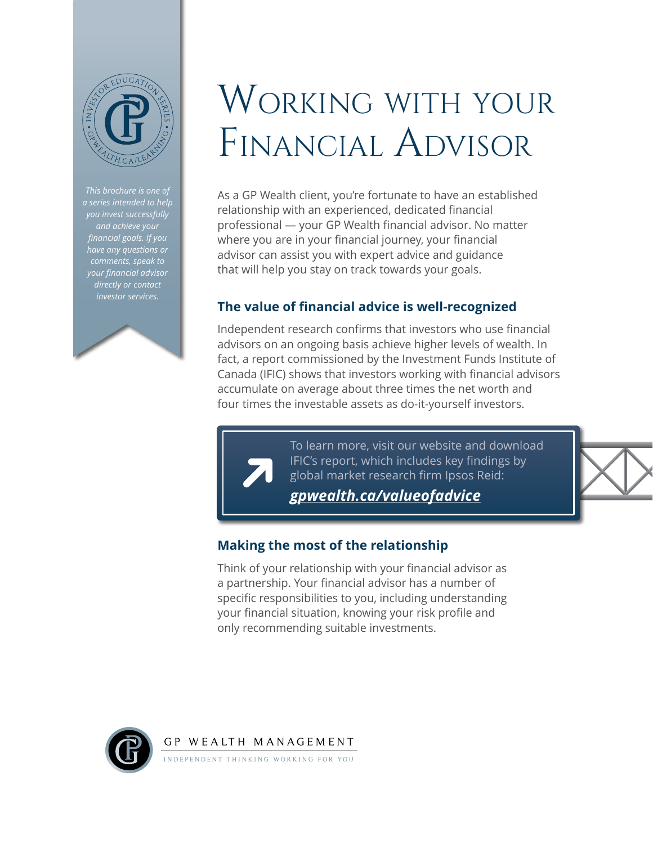

*This brochure is one of a series intended to help financial goals. If you have any questions or comments, speak to your financial advisor directly or contact investor services.*



## WORKING WITH YOUR Financial Advisor

As a GP Wealth client, you're fortunate to have an established relationship with an experienced, dedicated financial professional — your GP Wealth financial advisor. No matter where you are in your financial journey, your financial advisor can assist you with expert advice and guidance that will help you stay on track towards your goals.

## **The value of financial advice is well-recognized**

Independent research confirms that investors who use financial advisors on an ongoing basis achieve higher levels of wealth. In fact, a report commissioned by the Investment Funds Institute of Canada (IFIC) shows that investors working with financial advisors accumulate on average about three times the net worth and four times the investable assets as do-it-yourself investors.

> To learn more, visit our website and download IFIC's report, which includes key findings by global market research firm Ipsos Reid:

*[gpwealth.ca/valueofadvice](http://gpwealth.ca/valueofadvice)*



## **Making the most of the relationship**

Think of your relationship with your financial advisor as a partnership. Your financial advisor has a number of specific responsibilities to you, including understanding your financial situation, knowing your risk profile and only recommending suitable investments.